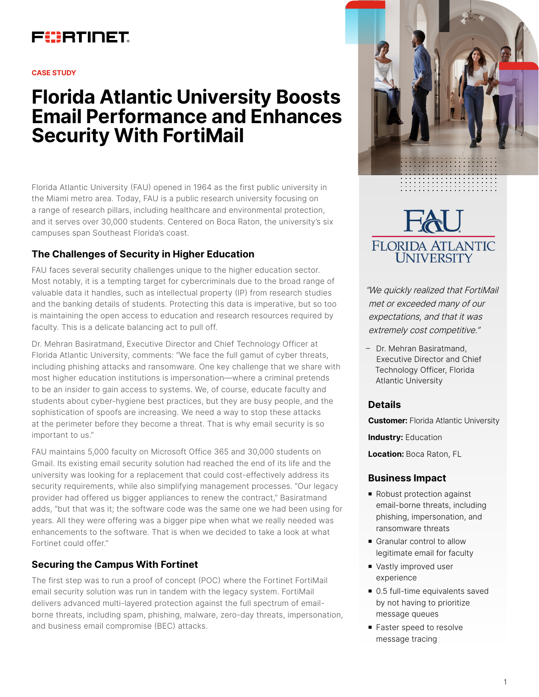# FURTINET

#### **CASE STUDY**

# **Florida Atlantic University Boosts Email Performance and Enhances Security With FortiMail**

Florida Atlantic University (FAU) opened in 1964 as the first public university in the Miami metro area. Today, FAU is a public research university focusing on a range of research pillars, including healthcare and environmental protection, and it serves over 30,000 students. Centered on Boca Raton, the university's six campuses span Southeast Florida's coast.

# **The Challenges of Security in Higher Education**

FAU faces several security challenges unique to the higher education sector. Most notably, it is a tempting target for cybercriminals due to the broad range of valuable data it handles, such as intellectual property (IP) from research studies and the banking details of students. Protecting this data is imperative, but so too is maintaining the open access to education and research resources required by faculty. This is a delicate balancing act to pull off.

Dr. Mehran Basiratmand, Executive Director and Chief Technology Officer at Florida Atlantic University, comments: "We face the full gamut of cyber threats, including phishing attacks and ransomware. One key challenge that we share with most higher education institutions is impersonation—where a criminal pretends to be an insider to gain access to systems. We, of course, educate faculty and students about cyber-hygiene best practices, but they are busy people, and the sophistication of spoofs are increasing. We need a way to stop these attacks at the perimeter before they become a threat. That is why email security is so important to us."

FAU maintains 5,000 faculty on Microsoft Office 365 and 30,000 students on Gmail. Its existing email security solution had reached the end of its life and the university was looking for a replacement that could cost-effectively address its security requirements, while also simplifying management processes. "Our legacy provider had offered us bigger appliances to renew the contract," Basiratmand adds, "but that was it; the software code was the same one we had been using for years. All they were offering was a bigger pipe when what we really needed was enhancements to the software. That is when we decided to take a look at what Fortinet could offer."

## **Securing the Campus With Fortinet**

The first step was to run a proof of concept (POC) where the Fortinet FortiMail email security solution was run in tandem with the legacy system. FortiMail delivers advanced multi-layered protection against the full spectrum of emailborne threats, including spam, phishing, malware, zero-day threats, impersonation, and business email compromise (BEC) attacks.



# FLORIDA ATLANTIC **UNIVERSITY**

"We quickly realized that FortiMail met or exceeded many of our expectations, and that it was extremely cost competitive."

– Dr. Mehran Basiratmand, Executive Director and Chief Technology Officer, Florida Atlantic University

#### **Details**

**Customer:** Florida Atlantic University

**Industry:** Education

**Location:** Boca Raton, FL

#### **Business Impact**

- Robust protection against email-borne threats, including phishing, impersonation, and ransomware threats
- Granular control to allow legitimate email for faculty
- Vastly improved user experience
- $\blacksquare$  0.5 full-time equivalents saved by not having to prioritize message queues
- Faster speed to resolve message tracing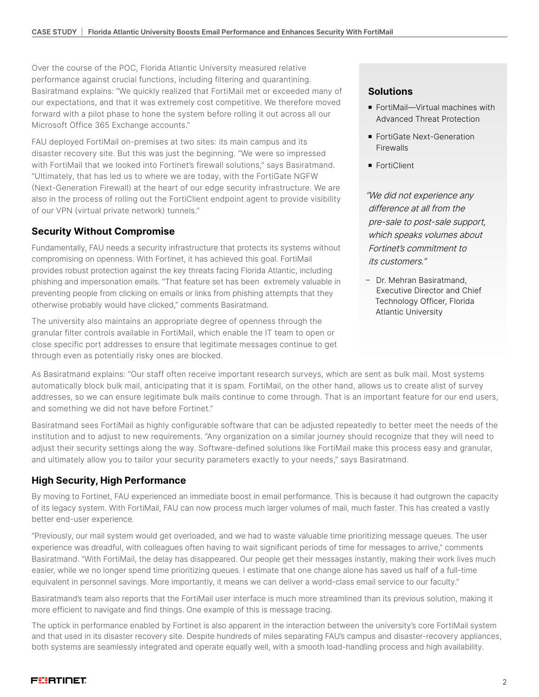Over the course of the POC, Florida Atlantic University measured relative performance against crucial functions, including filtering and quarantining. Basiratmand explains: "We quickly realized that FortiMail met or exceeded many of our expectations, and that it was extremely cost competitive. We therefore moved forward with a pilot phase to hone the system before rolling it out across all our Microsoft Office 365 Exchange accounts."

FAU deployed FortiMail on-premises at two sites: its main campus and its disaster recovery site. But this was just the beginning. "We were so impressed with FortiMail that we looked into Fortinet's firewall solutions," says Basiratmand. "Ultimately, that has led us to where we are today, with the FortiGate NGFW (Next-Generation Firewall) at the heart of our edge security infrastructure. We are also in the process of rolling out the FortiClient endpoint agent to provide visibility of our VPN (virtual private network) tunnels."

### **Security Without Compromise**

Fundamentally, FAU needs a security infrastructure that protects its systems without compromising on openness. With Fortinet, it has achieved this goal. FortiMail provides robust protection against the key threats facing Florida Atlantic, including phishing and impersonation emails. "That feature set has been extremely valuable in preventing people from clicking on emails or links from phishing attempts that they otherwise probably would have clicked," comments Basiratmand.

The university also maintains an appropriate degree of openness through the granular filter controls available in FortiMail, which enable the IT team to open or close specific port addresses to ensure that legitimate messages continue to get through even as potentially risky ones are blocked.

#### **Solutions**

- FortiMail—Virtual machines with Advanced Threat Protection
- FortiGate Next-Generation Firewalls
- **FortiClient**

"We did not experience any difference at all from the pre-sale to post-sale support, which speaks volumes about Fortinet's commitment to its customers."

– Dr. Mehran Basiratmand, Executive Director and Chief Technology Officer, Florida Atlantic University

As Basiratmand explains: "Our staff often receive important research surveys, which are sent as bulk mail. Most systems automatically block bulk mail, anticipating that it is spam. FortiMail, on the other hand, allows us to create alist of survey addresses, so we can ensure legitimate bulk mails continue to come through. That is an important feature for our end users, and something we did not have before Fortinet."

Basiratmand sees FortiMail as highly configurable software that can be adjusted repeatedly to better meet the needs of the institution and to adjust to new requirements. "Any organization on a similar journey should recognize that they will need to adjust their security settings along the way. Software-defined solutions like FortiMail make this process easy and granular, and ultimately allow you to tailor your security parameters exactly to your needs," says Basiratmand.

## **High Security, High Performance**

By moving to Fortinet, FAU experienced an immediate boost in email performance. This is because it had outgrown the capacity of its legacy system. With FortiMail, FAU can now process much larger volumes of mail, much faster. This has created a vastly better end-user experience.

"Previously, our mail system would get overloaded, and we had to waste valuable time prioritizing message queues. The user experience was dreadful, with colleagues often having to wait significant periods of time for messages to arrive," comments Basiratmand. "With FortiMail, the delay has disappeared. Our people get their messages instantly, making their work lives much easier, while we no longer spend time prioritizing queues. I estimate that one change alone has saved us half of a full-time equivalent in personnel savings. More importantly, it means we can deliver a world-class email service to our faculty."

Basiratmand's team also reports that the FortiMail user interface is much more streamlined than its previous solution, making it more efficient to navigate and find things. One example of this is message tracing.

The uptick in performance enabled by Fortinet is also apparent in the interaction between the university's core FortiMail system and that used in its disaster recovery site. Despite hundreds of miles separating FAU's campus and disaster-recovery appliances, both systems are seamlessly integrated and operate equally well, with a smooth load-handling process and high availability.